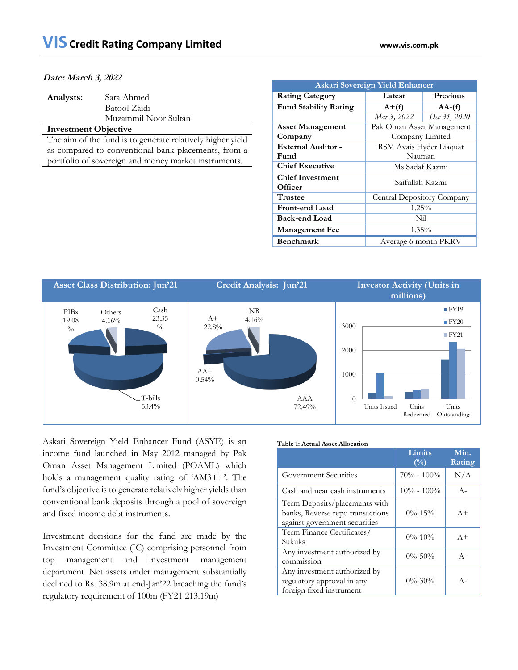#### **Date: March 3, 2022**

| Analysts: | Sara Ahmed           |
|-----------|----------------------|
|           | Batool Zaidi         |
|           | Muzammil Noor Sultan |

#### **Investment Objective**

The aim of the fund is to generate relatively higher yield as compared to conventional bank placements, from a portfolio of sovereign and money market instruments.

| <b>Askari Sovereign Yield Enhancer</b> |                            |              |  |  |
|----------------------------------------|----------------------------|--------------|--|--|
| <b>Rating Category</b>                 | <b>Previous</b><br>Latest  |              |  |  |
| <b>Fund Stability Rating</b>           | $A+(f)$                    | $AA-(f)$     |  |  |
|                                        | Mar 3, 2022                | Dec 31, 2020 |  |  |
| <b>Asset Management</b>                | Pak Oman Asset Management  |              |  |  |
| Company                                | Company Limited            |              |  |  |
| <b>External Auditor -</b>              | RSM Avais Hyder Liaquat    |              |  |  |
| Fund                                   | Nauman                     |              |  |  |
| <b>Chief Executive</b>                 | Ms Sadaf Kazmi             |              |  |  |
| <b>Chief Investment</b>                | Saifullah Kazmi            |              |  |  |
| Officer                                |                            |              |  |  |
| <b>Trustee</b>                         | Central Depository Company |              |  |  |
| <b>Front-end Load</b>                  | $1.25\%$                   |              |  |  |
| <b>Back-end Load</b>                   | Nil                        |              |  |  |
| <b>Management Fee</b>                  | $1.35\%$                   |              |  |  |
| <b>Benchmark</b>                       | Average 6 month PKRV       |              |  |  |



Askari Sovereign Yield Enhancer Fund (ASYE) is an income fund launched in May 2012 managed by Pak Oman Asset Management Limited (POAML) which holds a management quality rating of 'AM3++'. The fund's objective is to generate relatively higher yields than conventional bank deposits through a pool of sovereign and fixed income debt instruments.

Investment decisions for the fund are made by the Investment Committee (IC) comprising personnel from top management and investment management department. Net assets under management substantially declined to Rs. 38.9m at end-Jan'22 breaching the fund's regulatory requirement of 100m (FY21 213.19m)

#### **Table 1: Actual Asset Allocation**

|                                                                                                    | Limits<br>$\binom{0}{0}$ | Min.<br>Rating |
|----------------------------------------------------------------------------------------------------|--------------------------|----------------|
| <b>Government Securities</b>                                                                       | $70\% - 100\%$           | N/A            |
| Cash and near cash instruments                                                                     | $10\% - 100\%$           | $A -$          |
| Term Deposits/placements with<br>banks, Reverse repo transactions<br>against government securities | $0\% - 15\%$             | $A +$          |
| Term Finance Certificates/<br>Sukuks                                                               | $0\% - 10\%$             | $A +$          |
| Any investment authorized by<br>commission                                                         | $0\% - 50\%$             | $A -$          |
| Any investment authorized by<br>regulatory approval in any<br>foreign fixed instrument             | $0\% - 30\%$             | $A -$          |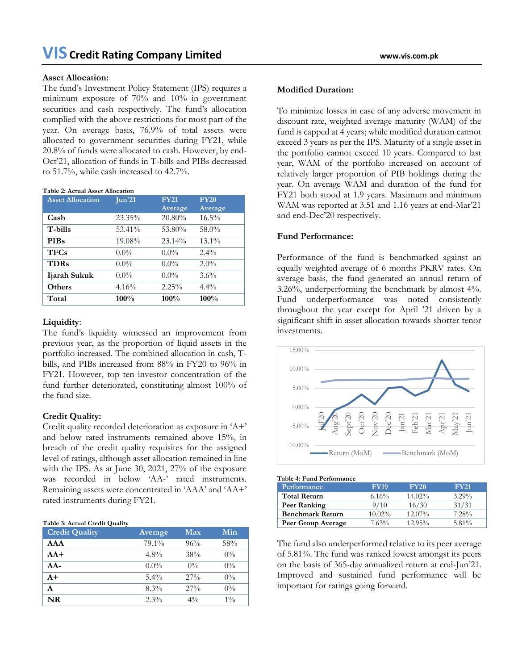#### **Asset Allocation:**

The fund's Investment Policy Statement (IPS) requires a minimum exposure of 70% and 10% in government securities and cash respectively. The fund's allocation complied with the above restrictions for most part of the year. On average basis, 76.9% of total assets were allocated to government securities during FY21, while 20.8% of funds were allocated to cash. However, by end-Oct'21, allocation of funds in T-bills and PIBs decreased to 51.7%, while cash increased to 42.7%.

#### **Table 2: Actual Asset Allocation**

| <b>Asset Allocation</b> | $\mathrm{Jun'}21$ | <b>FY21</b> | <b>FY20</b> |
|-------------------------|-------------------|-------------|-------------|
|                         |                   | Average     | Average     |
| Cash                    | 23.35%            | 20.80%      | $16.5\%$    |
| T-bills                 | 53.41%            | 53.80%      | 58.0%       |
| <b>PIBs</b>             | 19.08%            | 23.14%      | $13.1\%$    |
| <b>TFCs</b>             | $0.0\%$           | $0.0\%$     | $2.4\%$     |
| <b>TDRs</b>             | $0.0\%$           | $0.0\%$     | $2.0\%$     |
| Ijarah Sukuk            | $0.0\%$           | $0.0\%$     | $3.6\%$     |
| Others                  | 4.16%             | 2.25%       | $4.4\%$     |
| Total                   | 100%              | 100%        | 100%        |

## **Liquidity**:

The fund's liquidity witnessed an improvement from previous year, as the proportion of liquid assets in the portfolio increased. The combined allocation in cash, Tbills, and PIBs increased from 88% in FY20 to 96% in FY21. However, top ten investor concentration of the fund further deteriorated, constituting almost 100% of the fund size.

# **Credit Quality:**

Credit quality recorded deterioration as exposure in 'A+' and below rated instruments remained above 15%, in breach of the credit quality requisites for the assigned level of ratings, although asset allocation remained in line with the IPS. As at June 30, 2021, 27% of the exposure was recorded in below 'AA-' rated instruments. Remaining assets were concentrated in 'AAA' and 'AA+' rated instruments during FY21.

| Table 3: Actual Credit Quality |  |  |
|--------------------------------|--|--|
|--------------------------------|--|--|

| <b>Credit Quality</b> | Average | Max    | Min   |
|-----------------------|---------|--------|-------|
| AAA                   | 79.1%   | 96%    | 58%   |
| $AA+$                 | $4.8\%$ | 38%    | $0\%$ |
| $AA-$                 | $0.0\%$ | $0\%$  | $0\%$ |
| $A+$                  | $5.4\%$ | $27\%$ | $0\%$ |
| A                     | 8.3%    | $27\%$ | $0\%$ |
| <b>NR</b>             | 2.3%    | $4\%$  | $1\%$ |

#### **Modified Duration:**

To minimize losses in case of any adverse movement in discount rate, weighted average maturity (WAM) of the fund is capped at 4 years; while modified duration cannot exceed 3 years as per the IPS. Maturity of a single asset in the portfolio cannot exceed 10 years. Compared to last year, WAM of the portfolio increased on account of relatively larger proportion of PIB holdings during the year. On average WAM and duration of the fund for FY21 both stood at 1.9 years. Maximum and minimum WAM was reported at 3.51 and 1.16 years at end-Mar'21 and end-Dec'20 respectively.

# **Fund Performance:**

Performance of the fund is benchmarked against an equally weighted average of 6 months PKRV rates. On average basis, the fund generated an annual return of 3.26%, underperforming the benchmark by almost 4%. Fund underperformance was noted consistently throughout the year except for April '21 driven by a significant shift in asset allocation towards shorter tenor investments.



| Table 4: Fund Performance |  |
|---------------------------|--|
|---------------------------|--|

| Performance             | <b>FY19</b> | <b>FY20</b> | <b>FY21</b> |
|-------------------------|-------------|-------------|-------------|
| <b>Total Return</b>     | 6.16%       | $14.02\%$   | $3.29\%$    |
| Peer Ranking            | 9/10        | 16/30       | 31/31       |
| <b>Benchmark Return</b> | $10.02\%$   | $12.07\%$   | 7.28%       |
| Peer Group Average      | 7.63%       | $12.95\%$   | $5.81\%$    |

The fund also underperformed relative to its peer average of 5.81%. The fund was ranked lowest amongst its peers on the basis of 365-day annualized return at end-Jun'21. Improved and sustained fund performance will be important for ratings going forward.